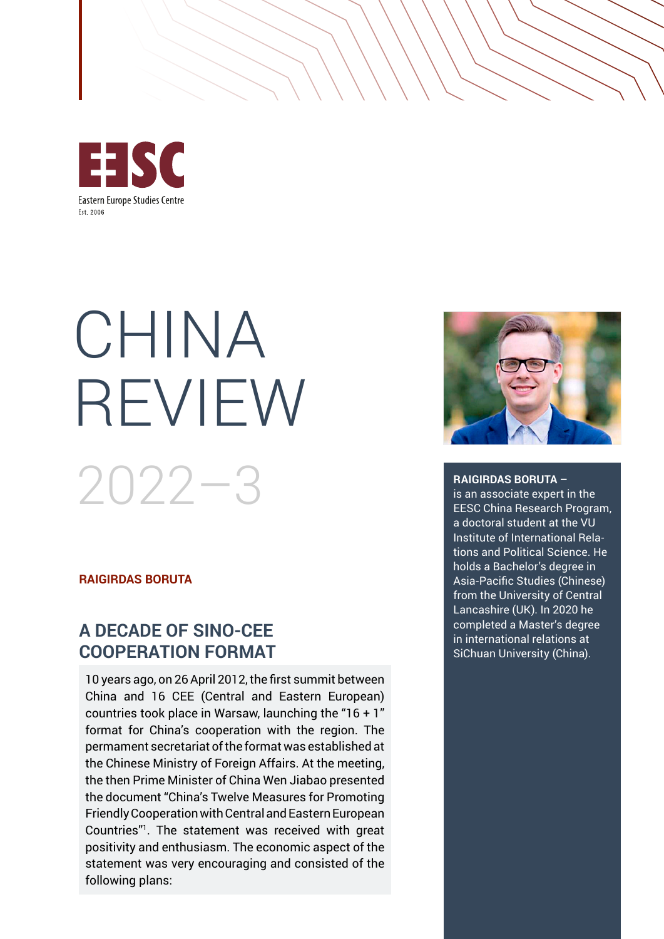

# CHINA REVIEW 2022–3

## **RAIGIRDAS BORUTA**

# **A DECADE OF SINO-CEE COOPERATION FORMAT**

10 years ago, on 26 April 2012, the first summit between China and 16 CEE (Central and Eastern European) countries took place in Warsaw, launching the "16 + 1" format for China's cooperation with the region. The permament secretariat of the format was established at the Chinese Ministry of Foreign Affairs. At the meeting, the then Prime Minister of China Wen Jiabao presented the document "China's Twelve Measures for Promoting Friendly Cooperation with Central and Eastern European Countries"<sup>1</sup> . The statement was received with great positivity and enthusiasm. The economic aspect of the statement was very encouraging and consisted of the following plans:



#### **RAIGIRDAS BORUTA –**

is an associate expert in the EESC China Research Program, a doctoral student at the VU Institute of International Relations and Political Science. He holds a Bachelor's degree in Asia-Pacific Studies (Chinese) from the University of Central Lancashire (UK). In 2020 he completed a Master's degree in international relations at SiChuan University (China).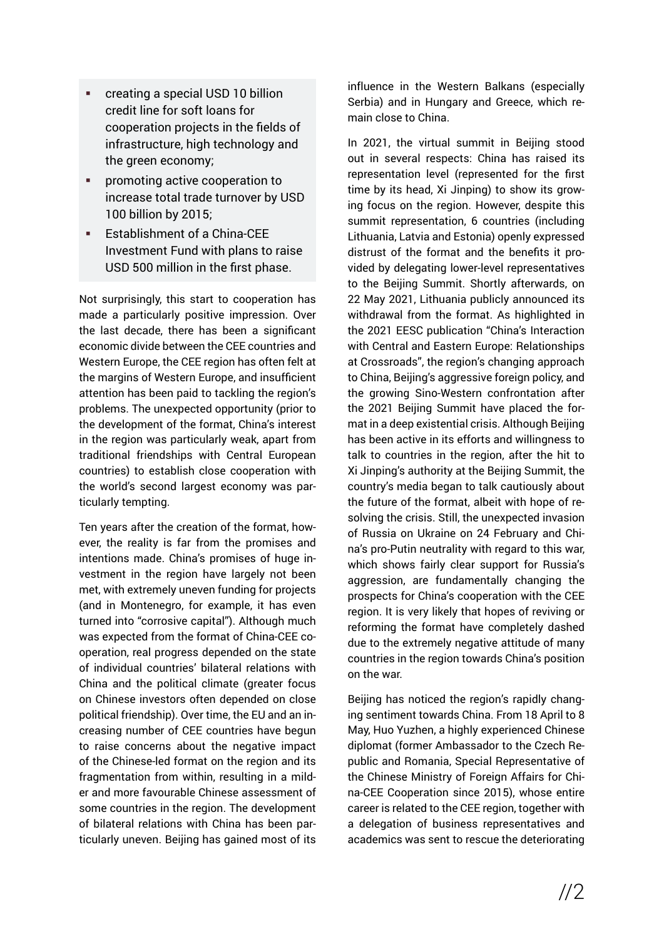- creating a special USD 10 billion credit line for soft loans for cooperation projects in the fields of infrastructure, high technology and the green economy;
- **•** promoting active cooperation to increase total trade turnover by USD 100 billion by 2015;
- **Establishment of a China-CEE** Investment Fund with plans to raise USD 500 million in the first phase.

Not surprisingly, this start to cooperation has made a particularly positive impression. Over the last decade, there has been a significant economic divide between the CEE countries and Western Europe, the CEE region has often felt at the margins of Western Europe, and insufficient attention has been paid to tackling the region's problems. The unexpected opportunity (prior to the development of the format, China's interest in the region was particularly weak, apart from traditional friendships with Central European countries) to establish close cooperation with the world's second largest economy was particularly tempting.

Ten years after the creation of the format, however, the reality is far from the promises and intentions made. China's promises of huge investment in the region have largely not been met, with extremely uneven funding for projects (and in Montenegro, for example, it has even turned into "corrosive capital"). Although much was expected from the format of China-CEE cooperation, real progress depended on the state of individual countries' bilateral relations with China and the political climate (greater focus on Chinese investors often depended on close political friendship). Over time, the EU and an increasing number of CEE countries have begun to raise concerns about the negative impact of the Chinese-led format on the region and its fragmentation from within, resulting in a milder and more favourable Chinese assessment of some countries in the region. The development of bilateral relations with China has been particularly uneven. Beijing has gained most of its influence in the Western Balkans (especially Serbia) and in Hungary and Greece, which remain close to China.

In 2021, the virtual summit in Beijing stood out in several respects: China has raised its representation level (represented for the first time by its head, Xi Jinping) to show its growing focus on the region. However, despite this summit representation, 6 countries (including Lithuania, Latvia and Estonia) openly expressed distrust of the format and the benefits it provided by delegating lower-level representatives to the Beijing Summit. Shortly afterwards, on 22 May 2021, Lithuania publicly announced its withdrawal from the format. As highlighted in the 2021 EESC publication "China's Interaction with Central and Eastern Europe: Relationships at Crossroads", the region's changing approach to China, Beijing's aggressive foreign policy, and the growing Sino-Western confrontation after the 2021 Beijing Summit have placed the format in a deep existential crisis. Although Beijing has been active in its efforts and willingness to talk to countries in the region, after the hit to Xi Jinping's authority at the Beijing Summit, the country's media began to talk cautiously about the future of the format, albeit with hope of resolving the crisis. Still, the unexpected invasion of Russia on Ukraine on 24 February and China's pro-Putin neutrality with regard to this war, which shows fairly clear support for Russia's aggression, are fundamentally changing the prospects for China's cooperation with the CEE region. It is very likely that hopes of reviving or reforming the format have completely dashed due to the extremely negative attitude of many countries in the region towards China's position on the war.

Beijing has noticed the region's rapidly changing sentiment towards China. From 18 April to 8 May, Huo Yuzhen, a highly experienced Chinese diplomat (former Ambassador to the Czech Republic and Romania, Special Representative of the Chinese Ministry of Foreign Affairs for China-CEE Cooperation since 2015), whose entire career is related to the CEE region, together with a delegation of business representatives and academics was sent to rescue the deteriorating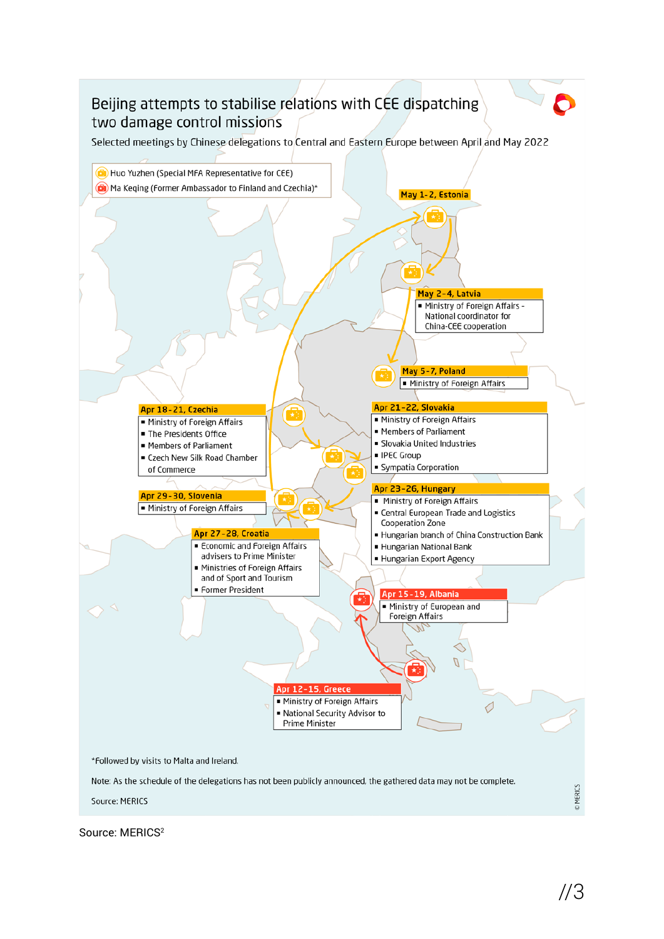

Source: MERICS 2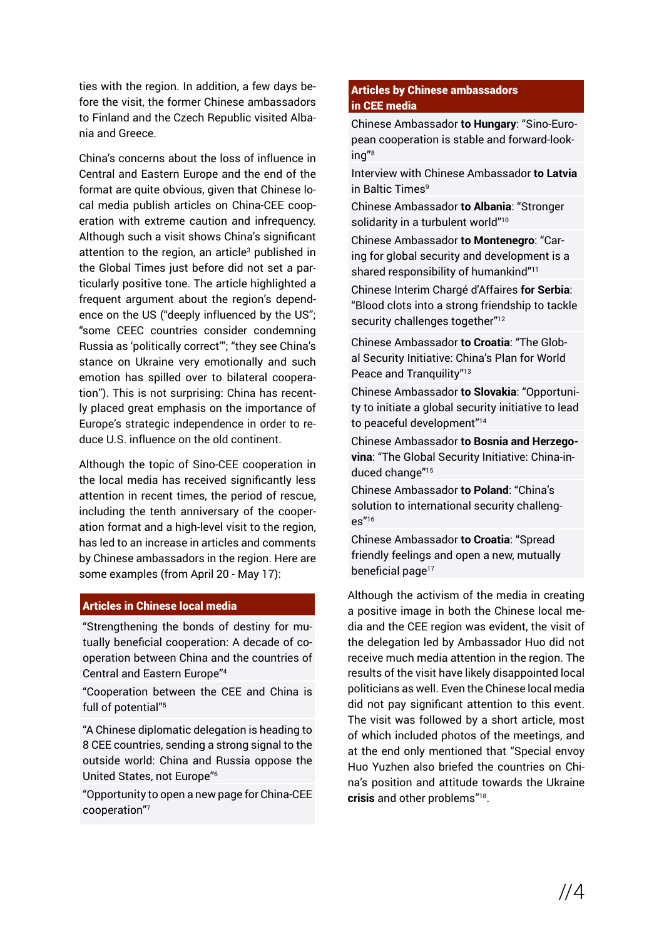ties with the region. In addition, a few days before the visit, the former Chinese ambassadors to Finland and the Czech Republic visited Albania and Greece.

China's concerns about the loss of influence in Central and Eastern Europe and the end of the format are quite obvious, given that Chinese local media publish articles on China-CEE cooperation with extreme caution and infrequency. Although such a visit shows China's significant attention to the region, an article<sup>3</sup> published in the Global Times just before did not set a particularly positive tone. The article highlighted a frequent argument about the region's dependence on the US ("deeply influenced by the US"; "some CEEC countries consider condemning Russia as 'politically correct'"; "they see China's stance on Ukraine very emotionally and such emotion has spilled over to bilateral cooperation"). This is not surprising: China has recently placed great emphasis on the importance of Europe's strategic independence in order to reduce U.S. influence on the old continent.

Although the topic of Sino-CEE cooperation in the local media has received significantly less attention in recent times, the period of rescue, including the tenth anniversary of the cooperation format and a high-level visit to the region, has led to an increase in articles and comments by Chinese ambassadors in the region. Here are some examples (from April 20 - May 17):

## Articles in Chinese local media

"Strengthening the bonds of destiny for mutually beneficial cooperation: A decade of cooperation between China and the countries of Central and Eastern Europe"4

"Cooperation between the CEE and China is full of potential"5

"A Chinese diplomatic delegation is heading to 8 CEE countries, sending a strong signal to the outside world: China and Russia oppose the United States, not Europe"6

"Opportunity to open a new page for China-CEE cooperation"7

### Articles by Chinese ambassadors in CEE media

Chinese Ambassador **to Hungary**: "Sino-European cooperation is stable and forward-looking"8

Interview with Chinese Ambassador **to Latvia** in Baltic Times<sup>9</sup>

Chinese Ambassador **to Albania**: "Stronger solidarity in a turbulent world"<sup>10</sup>

Chinese Ambassador **to Montenegro**: "Caring for global security and development is a shared responsibility of humankind"<sup>11</sup>

Chinese Interim Chargé d'Affaires **for Serbia**: "Blood clots into a strong friendship to tackle security challenges together"<sup>12</sup>

Chinese Ambassador **to Croatia**: "The Global Security Initiative: China's Plan for World Peace and Tranquility"<sup>13</sup>

Chinese Ambassador **to Slovakia**: "Opportunity to initiate a global security initiative to lead to peaceful development"14

Chinese Ambassador **to Bosnia and Herzegovina**: "The Global Security Initiative: China-induced change"15

Chinese Ambassador **to Poland**: "China's solution to international security challeng $es''<sup>16</sup>$ 

Chinese Ambassador **to Croatia**: "Spread friendly feelings and open a new, mutually beneficial page<sup>17</sup>

Although the activism of the media in creating a positive image in both the Chinese local media and the CEE region was evident, the visit of the delegation led by Ambassador Huo did not receive much media attention in the region. The results of the visit have likely disappointed local politicians as well. Even the Chinese local media did not pay significant attention to this event. The visit was followed by a short article, most of which included photos of the meetings, and at the end only mentioned that "Special envoy Huo Yuzhen also briefed the countries on China's position and attitude towards the Ukraine **crisis** and other problems"18.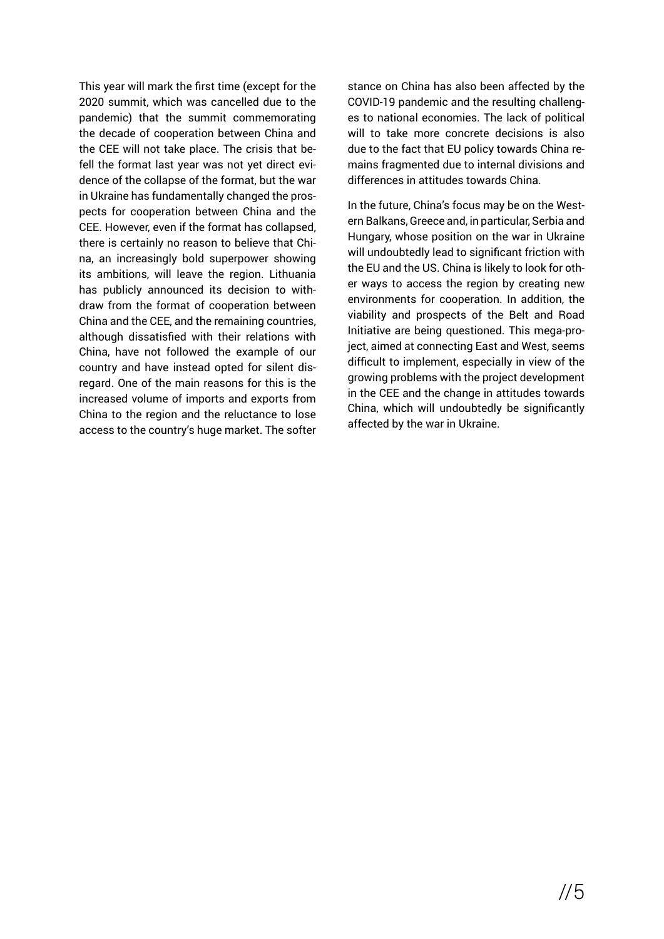This year will mark the first time (except for the 2020 summit, which was cancelled due to the pandemic) that the summit commemorating the decade of cooperation between China and the CEE will not take place. The crisis that befell the format last year was not yet direct evidence of the collapse of the format, but the war in Ukraine has fundamentally changed the prospects for cooperation between China and the CEE. However, even if the format has collapsed, there is certainly no reason to believe that China, an increasingly bold superpower showing its ambitions, will leave the region. Lithuania has publicly announced its decision to withdraw from the format of cooperation between China and the CEE, and the remaining countries, although dissatisfied with their relations with China, have not followed the example of our country and have instead opted for silent disregard. One of the main reasons for this is the increased volume of imports and exports from China to the region and the reluctance to lose access to the country's huge market. The softer stance on China has also been affected by the COVID-19 pandemic and the resulting challenges to national economies. The lack of political will to take more concrete decisions is also due to the fact that EU policy towards China remains fragmented due to internal divisions and differences in attitudes towards China.

In the future, China's focus may be on the Western Balkans, Greece and, in particular, Serbia and Hungary, whose position on the war in Ukraine will undoubtedly lead to significant friction with the EU and the US. China is likely to look for other ways to access the region by creating new environments for cooperation. In addition, the viability and prospects of the Belt and Road Initiative are being questioned. This mega-project, aimed at connecting East and West, seems difficult to implement, especially in view of the growing problems with the project development in the CEE and the change in attitudes towards China, which will undoubtedly be significantly affected by the war in Ukraine.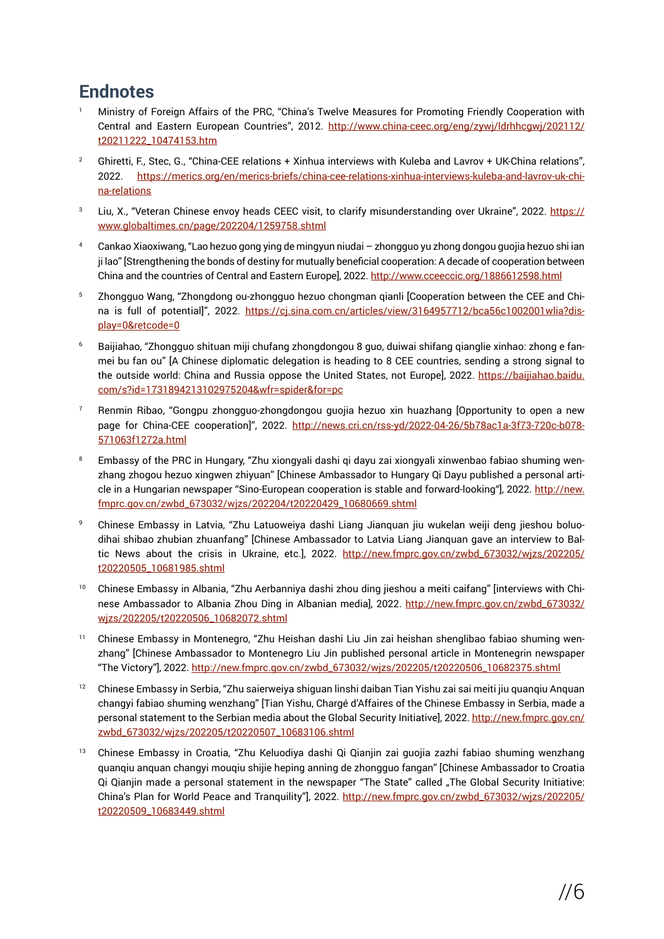# **Endnotes**

- <sup>1</sup>Ministry of Foreign Affairs of the PRC, "China's Twelve Measures for Promoting Friendly Cooperation with Central and Eastern European Countries", 2012. [http://www.china-ceec.org/eng/zywj/ldrhhcgwj/202112/](http://www.china-ceec.org/eng/zywj/ldrhhcgwj/202112/t20211222_10474153.htm) [t20211222\\_10474153.htm](http://www.china-ceec.org/eng/zywj/ldrhhcgwj/202112/t20211222_10474153.htm)
- <sup>2</sup> Ghiretti, F., Stec, G., "China-CEE relations + Xinhua interviews with Kuleba and Lavrov + UK-China relations", 2022. [https://merics.org/en/merics-briefs/china-cee-relations-xinhua-interviews-kuleba-and-lavrov-uk-chi](https://merics.org/en/merics-briefs/china-cee-relations-xinhua-interviews-kuleba-and-lavrov-uk-china-relations)[na-relations](https://merics.org/en/merics-briefs/china-cee-relations-xinhua-interviews-kuleba-and-lavrov-uk-china-relations)
- Liu, X., "Veteran Chinese envoy heads CEEC visit, to clarify misunderstanding over Ukraine", 2022. [https://](https://www.globaltimes.cn/page/202204/1259758.shtml) [www.globaltimes.cn/page/202204/1259758.shtml](https://www.globaltimes.cn/page/202204/1259758.shtml)
- 4 Cankao Xiaoxiwang, "Lao hezuo gong ying de mingyun niudai zhongguo yu zhong dongou guojia hezuo shi ian ji lao" [Strengthening the bonds of destiny for mutually beneficial cooperation: A decade of cooperation between China and the countries of Central and Eastern Europe], 2022. <http://www.cceeccic.org/1886612598.html>
- 5 Zhongguo Wang, "Zhongdong ou-zhongguo hezuo chongman qianli [Cooperation between the CEE and China is full of potential]", 2022. [https://cj.sina.com.cn/articles/view/3164957712/bca56c1002001wlia?dis](https://cj.sina.com.cn/articles/view/3164957712/bca56c1002001wlia?display=0&retcode=0)[play=0&retcode=0](https://cj.sina.com.cn/articles/view/3164957712/bca56c1002001wlia?display=0&retcode=0)
- 6 Baijiahao, "Zhongguo shituan miji chufang zhongdongou 8 guo, duiwai shifang qianglie xinhao: zhong e fanmei bu fan ou" [A Chinese diplomatic delegation is heading to 8 CEE countries, sending a strong signal to the outside world: China and Russia oppose the United States, not Europe], 2022. [https://baijiahao.baidu.](https://baijiahao.baidu.com/s?id=1731894213102975204&wfr=spider&for=pc) [com/s?id=1731894213102975204&wfr=spider&for=pc](https://baijiahao.baidu.com/s?id=1731894213102975204&wfr=spider&for=pc)
- Renmin Ribao, "Gongpu zhongguo-zhongdongou guojia hezuo xin huazhang [Opportunity to open a new page for China-CEE cooperation]", 2022. [http://news.cri.cn/rss-yd/2022-04-26/5b78ac1a-3f73-720c-b078-](http://news.cri.cn/rss-yd/2022-04-26/5b78ac1a-3f73-720c-b078-571063f1272a.html) [571063f1272a.html](http://news.cri.cn/rss-yd/2022-04-26/5b78ac1a-3f73-720c-b078-571063f1272a.html)
- Embassy of the PRC in Hungary, "Zhu xiongyali dashi gi dayu zai xiongyali xinwenbao fabiao shuming wenzhang zhogou hezuo xingwen zhiyuan" [Chinese Ambassador to Hungary Qi Dayu published a personal article in a Hungarian newspaper "Sino-European cooperation is stable and forward-looking"], 2022. [http://new.](http://new.fmprc.gov.cn/zwbd_673032/wjzs/202204/t20220429_10680669.shtml) [fmprc.gov.cn/zwbd\\_673032/wjzs/202204/t20220429\\_10680669.shtml](http://new.fmprc.gov.cn/zwbd_673032/wjzs/202204/t20220429_10680669.shtml)
- 9 Chinese Embassy in Latvia, "Zhu Latuoweiya dashi Liang Jianquan jiu wukelan weiji deng jieshou boluodihai shibao zhubian zhuanfang" [Chinese Ambassador to Latvia Liang Jianquan gave an interview to Baltic News about the crisis in Ukraine, etc.], 2022. [http://new.fmprc.gov.cn/zwbd\\_673032/wjzs/202205/](http://new.fmprc.gov.cn/zwbd_673032/wjzs/202205/t20220505_10681985.shtml) [t20220505\\_10681985.shtml](http://new.fmprc.gov.cn/zwbd_673032/wjzs/202205/t20220505_10681985.shtml)
- 10 Chinese Embassy in Albania, "Zhu Aerbanniya dashi zhou ding jieshou a meiti caifang" [interviews with Chinese Ambassador to Albania Zhou Ding in Albanian media], 2022. [http://new.fmprc.gov.cn/zwbd\\_673032/](http://new.fmprc.gov.cn/zwbd_673032/wjzs/202205/t20220506_10682072.shtml) [wjzs/202205/t20220506\\_10682072.shtml](http://new.fmprc.gov.cn/zwbd_673032/wjzs/202205/t20220506_10682072.shtml)
- 11 Chinese Embassy in Montenegro, "Zhu Heishan dashi Liu Jin zai heishan shenglibao fabiao shuming wenzhang" [Chinese Ambassador to Montenegro Liu Jin published personal article in Montenegrin newspaper "The Victory"], 2022. [http://new.fmprc.gov.cn/zwbd\\_673032/wjzs/202205/t20220506\\_10682375.shtml](http://new.fmprc.gov.cn/zwbd_673032/wjzs/202205/t20220506_10682375.shtml)
- 12 Chinese Embassy in Serbia, "Zhu saierweiya shiguan linshi daiban Tian Yishu zai sai meiti jiu quanqiu Anquan changyi fabiao shuming wenzhang" [Tian Yishu, Chargé d'Affaires of the Chinese Embassy in Serbia, made a personal statement to the Serbian media about the Global Security Initiative], 2022. [http://new.fmprc.gov.cn/](http://new.fmprc.gov.cn/zwbd_673032/wjzs/202205/t20220507_10683106.shtml) [zwbd\\_673032/wjzs/202205/t20220507\\_10683106.shtml](http://new.fmprc.gov.cn/zwbd_673032/wjzs/202205/t20220507_10683106.shtml)
- <sup>13</sup> Chinese Embassy in Croatia, "Zhu Keluodiya dashi Qi Qianjin zai guojia zazhi fabiao shuming wenzhang quanqiu anquan changyi mouqiu shijie heping anning de zhongguo fangan" [Chinese Ambassador to Croatia Qi Qianjin made a personal statement in the newspaper "The State" called "The Global Security Initiative: China's Plan for World Peace and Tranquility"], 2022. [http://new.fmprc.gov.cn/zwbd\\_673032/wjzs/202205/](http://new.fmprc.gov.cn/zwbd_673032/wjzs/202205/t20220509_10683449.shtml) [t20220509\\_10683449.shtml](http://new.fmprc.gov.cn/zwbd_673032/wjzs/202205/t20220509_10683449.shtml)